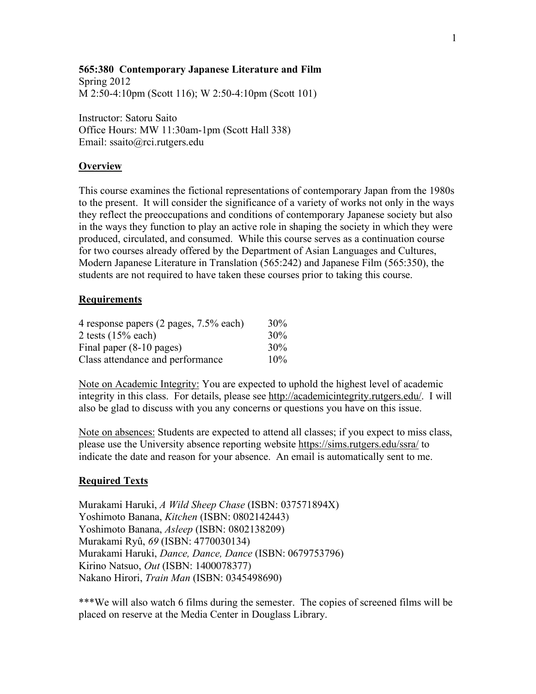## **565:380 Contemporary Japanese Literature and Film**

Spring 2012 M 2:50-4:10pm (Scott 116); W 2:50-4:10pm (Scott 101)

Instructor: Satoru Saito Office Hours: MW 11:30am-1pm (Scott Hall 338) Email: ssaito@rci.rutgers.edu

#### **Overview**

This course examines the fictional representations of contemporary Japan from the 1980s to the present. It will consider the significance of a variety of works not only in the ways they reflect the preoccupations and conditions of contemporary Japanese society but also in the ways they function to play an active role in shaping the society in which they were produced, circulated, and consumed. While this course serves as a continuation course for two courses already offered by the Department of Asian Languages and Cultures, Modern Japanese Literature in Translation (565:242) and Japanese Film (565:350), the students are not required to have taken these courses prior to taking this course.

## **Requirements**

| 4 response papers (2 pages, 7.5% each)                                               | 30%        |
|--------------------------------------------------------------------------------------|------------|
| 2 tests $(15%$ each)<br>Final paper (8-10 pages)<br>Class attendance and performance | 30%<br>30% |
|                                                                                      |            |

Note on Academic Integrity: You are expected to uphold the highest level of academic integrity in this class. For details, please see http://academicintegrity.rutgers.edu/. I will also be glad to discuss with you any concerns or questions you have on this issue.

Note on absences: Students are expected to attend all classes; if you expect to miss class, please use the University absence reporting website https://sims.rutgers.edu/ssra/ to indicate the date and reason for your absence. An email is automatically sent to me.

#### **Required Texts**

Murakami Haruki, *A Wild Sheep Chase* (ISBN: 037571894X) Yoshimoto Banana, *Kitchen* (ISBN: 0802142443) Yoshimoto Banana, *Asleep* (ISBN: 0802138209) Murakami Ryû, *69* (ISBN: 4770030134) Murakami Haruki, *Dance, Dance, Dance* (ISBN: 0679753796) Kirino Natsuo, *Out* (ISBN: 1400078377) Nakano Hirori, *Train Man* (ISBN: 0345498690)

\*\*\*We will also watch 6 films during the semester. The copies of screened films will be placed on reserve at the Media Center in Douglass Library.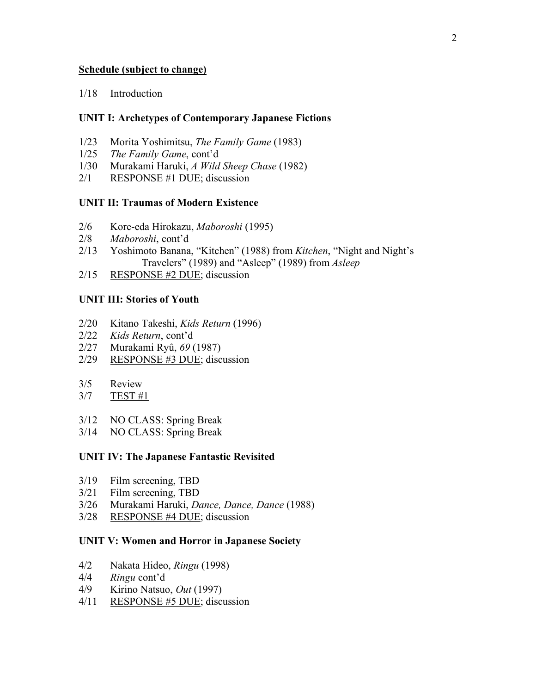## **Schedule (subject to change)**

## 1/18 Introduction

## **UNIT I: Archetypes of Contemporary Japanese Fictions**

- 1/23 Morita Yoshimitsu, *The Family Game* (1983)
- 1/25 *The Family Game*, cont'd
- 1/30 Murakami Haruki, *A Wild Sheep Chase* (1982)
- 2/1 RESPONSE #1 DUE; discussion

## **UNIT II: Traumas of Modern Existence**

- 2/6 Kore-eda Hirokazu, *Maboroshi* (1995)
- 2/8 *Maboroshi*, cont'd
- 2/13 Yoshimoto Banana, "Kitchen" (1988) from *Kitchen*, "Night and Night's Travelers" (1989) and "Asleep" (1989) from *Asleep*
- 2/15 RESPONSE #2 DUE; discussion

## **UNIT III: Stories of Youth**

- 2/20 Kitano Takeshi, *Kids Return* (1996)
- 2/22 *Kids Return*, cont'd
- 2/27 Murakami Ryû, *69* (1987)
- 2/29 RESPONSE #3 DUE; discussion
- 3/5 Review
- 3/7 TEST #1
- 3/12 NO CLASS: Spring Break
- 3/14 NO CLASS: Spring Break

#### **UNIT IV: The Japanese Fantastic Revisited**

- 3/19 Film screening, TBD
- 3/21 Film screening, TBD
- 3/26 Murakami Haruki, *Dance, Dance, Dance* (1988)
- 3/28 RESPONSE #4 DUE; discussion

#### **UNIT V: Women and Horror in Japanese Society**

- 4/2 Nakata Hideo, *Ringu* (1998)
- 4/4 *Ringu* cont'd
- 4/9 Kirino Natsuo, *Out* (1997)
- 4/11 RESPONSE #5 DUE; discussion